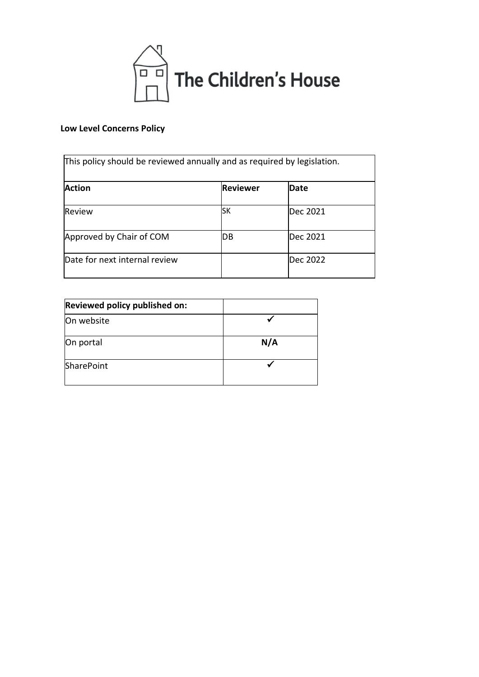

# **Low Level Concerns Policy**

| This policy should be reviewed annually and as required by legislation. |                 |             |
|-------------------------------------------------------------------------|-----------------|-------------|
| <b>Action</b>                                                           | <b>Reviewer</b> | <b>Date</b> |
| Review                                                                  | SΚ              | Dec 2021    |
| Approved by Chair of COM                                                | IDВ             | Dec 2021    |
| Date for next internal review                                           |                 | Dec 2022    |

| Reviewed policy published on: |     |
|-------------------------------|-----|
| On website                    |     |
| On portal                     | N/A |
| <b>SharePoint</b>             |     |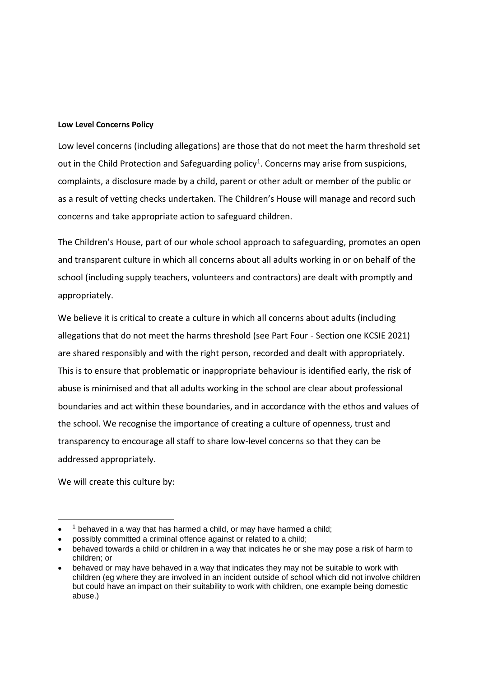#### **Low Level Concerns Policy**

Low level concerns (including allegations) are those that do not meet the harm threshold set out in the Child Protection and Safeguarding policy<sup>1</sup>. Concerns may arise from suspicions, complaints, a disclosure made by a child, parent or other adult or member of the public or as a result of vetting checks undertaken. The Children's House will manage and record such concerns and take appropriate action to safeguard children.

The Children's House, part of our whole school approach to safeguarding, promotes an open and transparent culture in which all concerns about all adults working in or on behalf of the school (including supply teachers, volunteers and contractors) are dealt with promptly and appropriately.

We believe it is critical to create a culture in which all concerns about adults (including allegations that do not meet the harms threshold (see Part Four - Section one KCSIE 2021) are shared responsibly and with the right person, recorded and dealt with appropriately. This is to ensure that problematic or inappropriate behaviour is identified early, the risk of abuse is minimised and that all adults working in the school are clear about professional boundaries and act within these boundaries, and in accordance with the ethos and values of the school. We recognise the importance of creating a culture of openness, trust and transparency to encourage all staff to share low-level concerns so that they can be addressed appropriately.

We will create this culture by:

<sup>•</sup>  $1$  behaved in a way that has harmed a child, or may have harmed a child;

<sup>•</sup> possibly committed a criminal offence against or related to a child;

<sup>•</sup> behaved towards a child or children in a way that indicates he or she may pose a risk of harm to children; or

<sup>•</sup> behaved or may have behaved in a way that indicates they may not be suitable to work with children (eg where they are involved in an incident outside of school which did not involve children but could have an impact on their suitability to work with children, one example being domestic abuse.)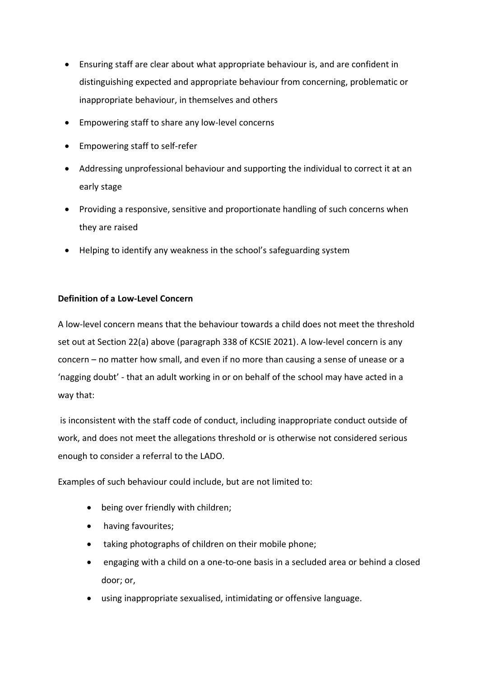- Ensuring staff are clear about what appropriate behaviour is, and are confident in distinguishing expected and appropriate behaviour from concerning, problematic or inappropriate behaviour, in themselves and others
- Empowering staff to share any low-level concerns
- Empowering staff to self-refer
- Addressing unprofessional behaviour and supporting the individual to correct it at an early stage
- Providing a responsive, sensitive and proportionate handling of such concerns when they are raised
- Helping to identify any weakness in the school's safeguarding system

# **Definition of a Low-Level Concern**

A low-level concern means that the behaviour towards a child does not meet the threshold set out at Section 22(a) above (paragraph 338 of KCSIE 2021). A low-level concern is any concern – no matter how small, and even if no more than causing a sense of unease or a 'nagging doubt' - that an adult working in or on behalf of the school may have acted in a way that:

is inconsistent with the staff code of conduct, including inappropriate conduct outside of work, and does not meet the allegations threshold or is otherwise not considered serious enough to consider a referral to the LADO.

Examples of such behaviour could include, but are not limited to:

- being over friendly with children;
- having favourites;
- taking photographs of children on their mobile phone;
- engaging with a child on a one-to-one basis in a secluded area or behind a closed door; or,
- using inappropriate sexualised, intimidating or offensive language.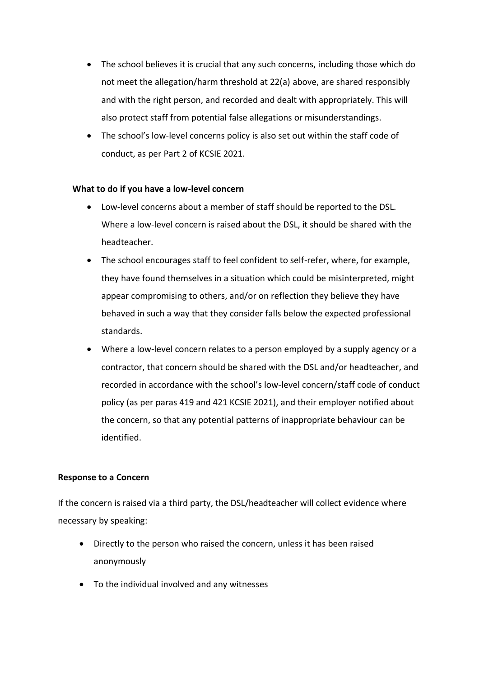- The school believes it is crucial that any such concerns, including those which do not meet the allegation/harm threshold at 22(a) above, are shared responsibly and with the right person, and recorded and dealt with appropriately. This will also protect staff from potential false allegations or misunderstandings.
- The school's low-level concerns policy is also set out within the staff code of conduct, as per Part 2 of KCSIE 2021.

### **What to do if you have a low-level concern**

- Low-level concerns about a member of staff should be reported to the DSL. Where a low-level concern is raised about the DSL, it should be shared with the headteacher.
- The school encourages staff to feel confident to self-refer, where, for example, they have found themselves in a situation which could be misinterpreted, might appear compromising to others, and/or on reflection they believe they have behaved in such a way that they consider falls below the expected professional standards.
- Where a low-level concern relates to a person employed by a supply agency or a contractor, that concern should be shared with the DSL and/or headteacher, and recorded in accordance with the school's low-level concern/staff code of conduct policy (as per paras 419 and 421 KCSIE 2021), and their employer notified about the concern, so that any potential patterns of inappropriate behaviour can be identified.

### **Response to a Concern**

If the concern is raised via a third party, the DSL/headteacher will collect evidence where necessary by speaking:

- Directly to the person who raised the concern, unless it has been raised anonymously
- To the individual involved and any witnesses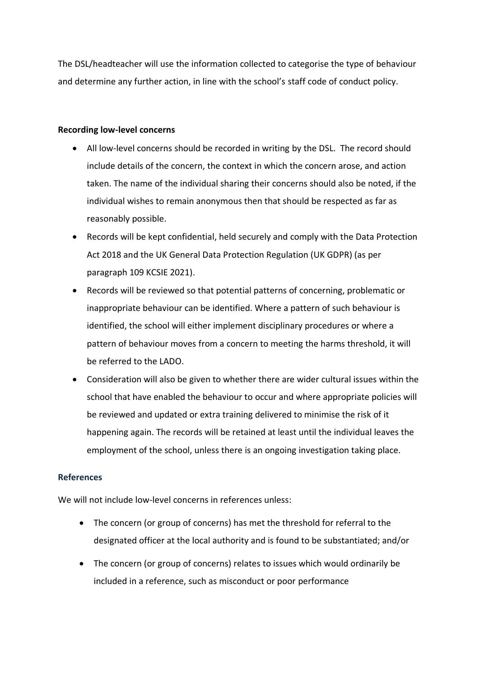The DSL/headteacher will use the information collected to categorise the type of behaviour and determine any further action, in line with the school's staff code of conduct policy.

### **Recording low-level concerns**

- All low-level concerns should be recorded in writing by the DSL. The record should include details of the concern, the context in which the concern arose, and action taken. The name of the individual sharing their concerns should also be noted, if the individual wishes to remain anonymous then that should be respected as far as reasonably possible.
- Records will be kept confidential, held securely and comply with the Data Protection Act 2018 and the UK General Data Protection Regulation (UK GDPR) (as per paragraph 109 KCSIE 2021).
- Records will be reviewed so that potential patterns of concerning, problematic or inappropriate behaviour can be identified. Where a pattern of such behaviour is identified, the school will either implement disciplinary procedures or where a pattern of behaviour moves from a concern to meeting the harms threshold, it will be referred to the LADO.
- Consideration will also be given to whether there are wider cultural issues within the school that have enabled the behaviour to occur and where appropriate policies will be reviewed and updated or extra training delivered to minimise the risk of it happening again. The records will be retained at least until the individual leaves the employment of the school, unless there is an ongoing investigation taking place.

# **References**

We will not include low-level concerns in references unless:

- The concern (or group of concerns) has met the threshold for referral to the designated officer at the local authority and is found to be substantiated; and/or
- The concern (or group of concerns) relates to issues which would ordinarily be included in a reference, such as misconduct or poor performance